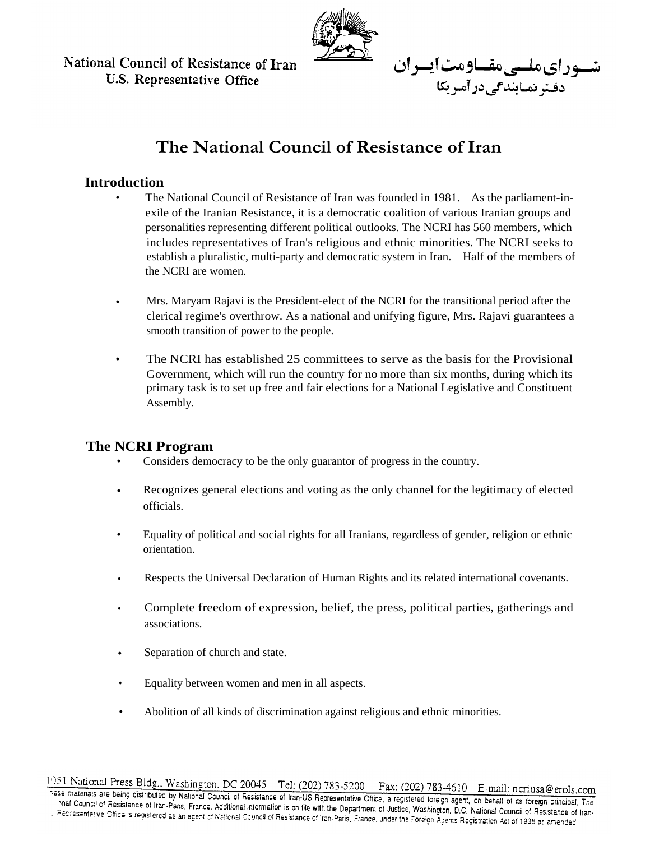National Council of Resistance of Iran U.S. Representative Office



شسوراىملسىمقساومت ايسران

دفتر نمایندگی در آمریکا

# **The National Council of Resistance of Iran**

#### **Introduction**

- The National Council of Resistance of Iran was founded in 1981. As the parliament-inexile of the Iranian Resistance, it is a democratic coalition of various Iranian groups and personalities representing different political outlooks. The NCRI has 560 members, which includes representatives of Iran's religious and ethnic minorities. The NCRI seeks to establish a pluralistic, multi-party and democratic system in Iran. Half of the members of the NCRI are women.
- Mrs. Maryam Rajavi is the President-elect of the NCRI for the transitional period after the clerical regime's overthrow. As a national and unifying figure, Mrs. Rajavi guarantees a smooth transition of power to the people.
- The NCRI has established 25 committees to serve as the basis for the Provisional Government, which will run the country for no more than six months, during which its primary task is to set up free and fair elections for a National Legislative and Constituent Assembly.

#### **The NCRI Program**

- Considers democracy to be the only guarantor of progress in the country.
- Recognizes general elections and voting as the only channel for the legitimacy of elected officials.
- Equality of political and social rights for all Iranians, regardless of gender, religion or ethnic orientation.
- Respects the Universal Declaration of Human Rights and its related international covenants.
- Complete freedom of expression, belief, the press, political parties, gatherings and associations.
- Separation of church and state.
- Equality between women and men in all aspects.
- Abolition of all kinds of discrimination against religious and ethnic minorities.

1951 National Press Bldg., Washington, DC 20045 Tel: (202) 783-5200 Fax: (202) 783-4610 E-mail: ncriusa@erols.com see materials are being distributed by National Council of Resistance of Iran-Paris France Additional Council of Resistance of Iran-Paris France Additional incrime of the Additional Council of Resistance of Iran-Paris Fran nal Council of Resistance of Iran-of Praticular Council of Resistance of Iran-OS Representative Office, a registered foreign agent, on behalf of its foreign principal, The<br>Recresentative Office is registered as an anext of e Accressivative Office is registered as an agent of National Information is on the With the Department of Justice, Washington, D.C. National Council of Resistance of Individual Council of Resistance of Iran-Paris, France,